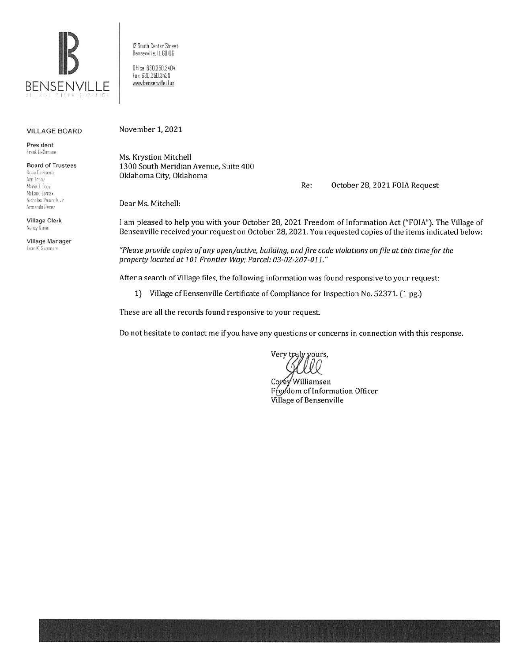

12 South Center Street Bensenville, IL 60106 Office: 630.350.3404 Fax: 630.350.3438 www.bensenville.il.us

#### **VILLAGE BOARD**

President Frank DeSimone

**Board of Trustees** Rosa Carmona Ann Franz Marie T Frev McLane Lomax Nicholas Panicola Jr.

Village Clerk Nancy Quinn

Armando Perez

Village Manager Evan K. Summers

November 1, 2021

Ms. Krystion Mitchell 1300 South Meridian Avenue, Suite 400 Oklahoma City, Oklahoma

> Re: October 28, 2021 FOIA Request

Dear Ms. Mitchell:

I am pleased to help you with your October 28, 2021 Freedom of Information Act ("FOIA"). The Village of Bensenville received your request on October 28, 2021. You requested copies of the items indicated below:

"Please provide copies of any open/active, building, and fire code violations on file at this time for the property located at 101 Frontier Way; Parcel: 03-02-207-011."

After a search of Village files, the following information was found responsive to your request:

1) Village of Bensenville Certificate of Compliance for Inspection No. 52371. (1 pg.)

These are all the records found responsive to your request.

Do not hesitate to contact me if you have any questions or concerns in connection with this response.

Very truly yours,

Corey Williamsen Freedom of Information Officer Village of Bensenville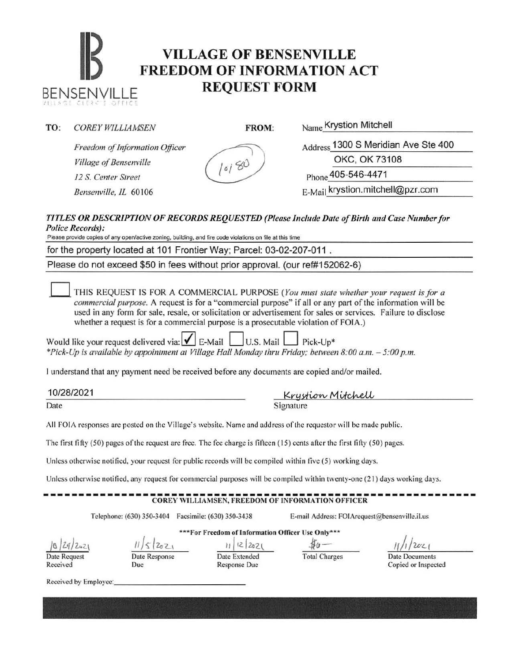# **IB VILLAGE OF BENSENVILLE**<br> **FREEDOM OF INFORMATION ACT** BENSENVILLE **REQUEST FORM**

#### **TO:** *COREY WILLIAMSEN* **FROM:** Name Krystion Mitchell

XILIASE CIERRES OFFICE

*Freedom of Information Officer Village of Bensenville 12 S. Center Street* (*loi*<sup>80</sup> Phone 405-546-4471

Address 1300 S Meridian Ave Ste 400

OKC, OK 73108

*Bensenville, IL* 60106 **E-Mail krystion.mitchell@pzr.com** 

#### *TITLES OR DESCRIPTION OF RECORDS REQUESTED (Please I11 clude Date of Birth and Case Number for Police Records):*

Please provide copies of any open/active zoning, building, and fire code violations on file at this time

for the property located at 101 Frontier Way; Parcel: 03-02-207-011

Please do not exceed \$50 in fees without prior approval. (our ref#152062-6)

THIS REQUEST IS FOR A COMMERCIAL PURPOSE *(You must state whether your request is for a commercial pwpose.* A request is for a "commercial purpose" if all or any part of the information will be used in any form for sale, resale, or solicitation or advertisement for sales or services. Failure to disclose whether a request is for a commercial purpose is a prosecutable violation of FOIA.)

Would like your request delivered via:  $\vert \mathbf{v} \vert$  E-Mail  $\vert$  U.S. Mail  $\vert$  Pick-Up\* *\*Pick-Up is available by appointment at Village Hall Monday thru Friday; between 8:00a.m. -5:00p.m.* 

I understand that any payment need be received before any documents are copied and/or mailed.

10/28/2021 TUIZ8IZUZT<br>Date Signature Signature

All FOIA responses arc posted on the Village's website. Name and address of the requestor will be made public.

The first fifty  $(50)$  pages of the request are free. The fee charge is fifteen  $(15)$  cents after the first fifty  $(50)$  pages.

Unless otherwise notified, your request for public records will be compiled within five (5) working days.

Unless otherwise notified. any request for commercial purposes will be compiled within twenty-one (21) days working days.

## ------------------------------------------------------------- COREY WILLIAMSEN, FREEDOM OF INFORMATION OFFICER

\*\*\*For Freedom of Information Officer Usc Only\*\*\*

Telephone: (630) 350-3404 Facsimile: (630) 350-3438 E-mail Address: FOIArequest@bensenville.il.us

/& *)l'1)Z...'-\*  Date Request

Received

Date Response

Due

 $u/2$   $z_{22}$   $z_{0}$ Date Extended

Response Due

Total Charges Date Documents

 $\overline{\mathcal{U}}$ 

Copied or Inspected

Received by Employee: